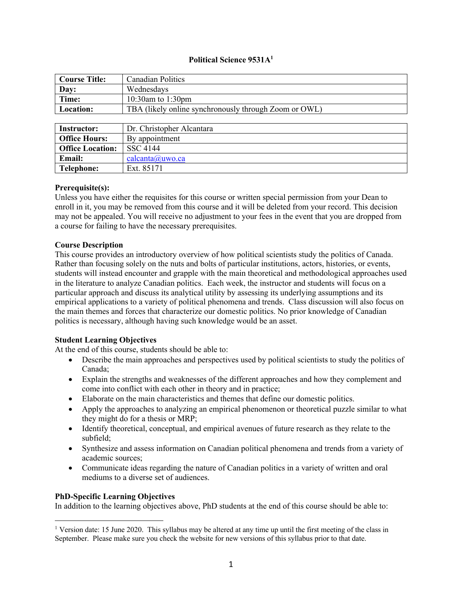# **Political Science 9531A1**

| <b>Course Title:</b>    | <b>Canadian Politics</b>                              |
|-------------------------|-------------------------------------------------------|
| Day:                    | Wednesdays                                            |
| Time:                   | 10:30am to 1:30pm                                     |
| Location:               | TBA (likely online synchronously through Zoom or OWL) |
|                         |                                                       |
| <b>Instructor:</b>      | Dr. Christopher Alcantara                             |
| <b>Office Hours:</b>    | By appointment                                        |
| <b>Office Location:</b> | <b>SSC 4144</b>                                       |
| Email:                  | calcanta@uwo.ca                                       |
| <b>Telephone:</b>       | Ext. 85171                                            |

#### **Prerequisite(s):**

Unless you have either the requisites for this course or written special permission from your Dean to enroll in it, you may be removed from this course and it will be deleted from your record. This decision may not be appealed. You will receive no adjustment to your fees in the event that you are dropped from a course for failing to have the necessary prerequisites.

#### **Course Description**

This course provides an introductory overview of how political scientists study the politics of Canada. Rather than focusing solely on the nuts and bolts of particular institutions, actors, histories, or events, students will instead encounter and grapple with the main theoretical and methodological approaches used in the literature to analyze Canadian politics. Each week, the instructor and students will focus on a particular approach and discuss its analytical utility by assessing its underlying assumptions and its empirical applications to a variety of political phenomena and trends. Class discussion will also focus on the main themes and forces that characterize our domestic politics. No prior knowledge of Canadian politics is necessary, although having such knowledge would be an asset.

## **Student Learning Objectives**

At the end of this course, students should be able to:

- Describe the main approaches and perspectives used by political scientists to study the politics of Canada;
- Explain the strengths and weaknesses of the different approaches and how they complement and come into conflict with each other in theory and in practice;
- Elaborate on the main characteristics and themes that define our domestic politics.
- Apply the approaches to analyzing an empirical phenomenon or theoretical puzzle similar to what they might do for a thesis or MRP;
- Identify theoretical, conceptual, and empirical avenues of future research as they relate to the subfield;
- Synthesize and assess information on Canadian political phenomena and trends from a variety of academic sources;
- Communicate ideas regarding the nature of Canadian politics in a variety of written and oral mediums to a diverse set of audiences.

## **PhD-Specific Learning Objectives**

In addition to the learning objectives above, PhD students at the end of this course should be able to:

<sup>&</sup>lt;sup>1</sup> Version date: 15 June 2020. This syllabus may be altered at any time up until the first meeting of the class in September. Please make sure you check the website for new versions of this syllabus prior to that date.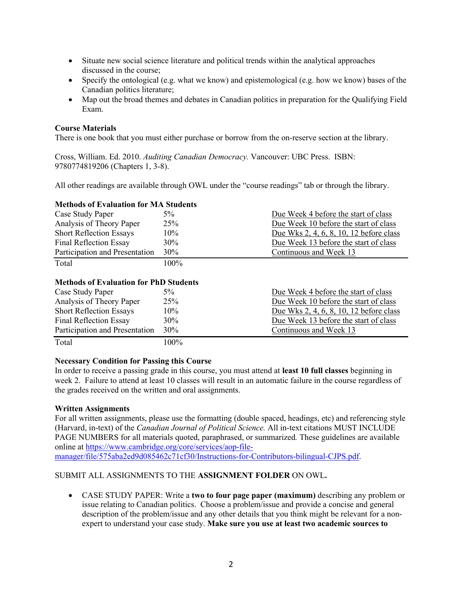- Situate new social science literature and political trends within the analytical approaches discussed in the course;
- Specify the ontological (e.g. what we know) and epistemological (e.g. how we know) bases of the Canadian politics literature;
- Map out the broad themes and debates in Canadian politics in preparation for the Qualifying Field Exam.

# **Course Materials**

There is one book that you must either purchase or borrow from the on-reserve section at the library.

Cross, William. Ed. 2010. *Auditing Canadian Democracy.* Vancouver: UBC Press. ISBN: 9780774819206 (Chapters 1, 3-8).

All other readings are available through OWL under the "course readings" tab or through the library.

# **Methods of Evaluation for MA Students**

| Case Study Paper               | 5%   | Due Week 4 before the start of class    |
|--------------------------------|------|-----------------------------------------|
| Analysis of Theory Paper       | 25%  | Due Week 10 before the start of class   |
| <b>Short Reflection Essays</b> | 10%  | Due Wks 2, 4, 6, 8, 10, 12 before class |
| <b>Final Reflection Essay</b>  | 30%  | Due Week 13 before the start of class   |
| Participation and Presentation | 30%  | Continuous and Week 13                  |
| Total                          | 100% |                                         |

## **Methods of Evaluation for PhD Students**

| Case Study Paper               | $5\%$  | Due Week 4 before the start of class    |
|--------------------------------|--------|-----------------------------------------|
| Analysis of Theory Paper       | 25%    | Due Week 10 before the start of class   |
| <b>Short Reflection Essays</b> | $10\%$ | Due Wks 2, 4, 6, 8, 10, 12 before class |
| <b>Final Reflection Essay</b>  | 30%    | Due Week 13 before the start of class   |
| Participation and Presentation | 30%    | Continuous and Week 13                  |
| Total                          | 100%   |                                         |

## **Necessary Condition for Passing this Course**

In order to receive a passing grade in this course, you must attend at **least 10 full classes** beginning in week 2. Failure to attend at least 10 classes will result in an automatic failure in the course regardless of the grades received on the written and oral assignments.

## **Written Assignments**

For all written assignments, please use the formatting (double spaced, headings, etc) and referencing style (Harvard, in-text) of the *Canadian Journal of Political Science.* All in-text citations MUST INCLUDE PAGE NUMBERS for all materials quoted, paraphrased, or summarized*.* These guidelines are available online at https://www.cambridge.org/core/services/aop-file-

manager/file/575aba2ed9d085462c71cf30/Instructions-for-Contributors-bilingual-CJPS.pdf.

# SUBMIT ALL ASSIGNMENTS TO THE **ASSIGNMENT FOLDER** ON OWL**.**

• CASE STUDY PAPER: Write a **two to four page paper (maximum)** describing any problem or issue relating to Canadian politics. Choose a problem/issue and provide a concise and general description of the problem/issue and any other details that you think might be relevant for a nonexpert to understand your case study. **Make sure you use at least two academic sources to**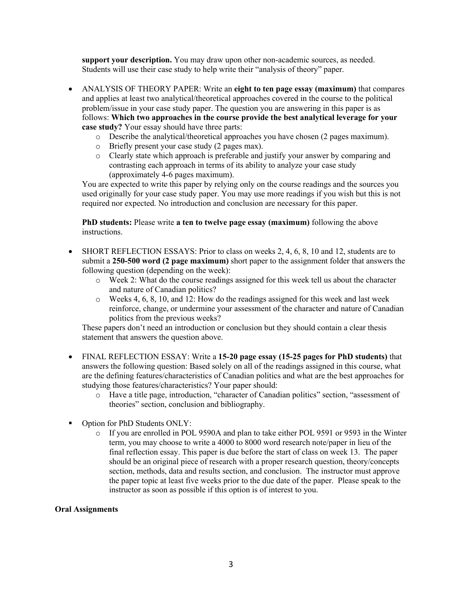**support your description.** You may draw upon other non-academic sources, as needed. Students will use their case study to help write their "analysis of theory" paper.

- ANALYSIS OF THEORY PAPER: Write an **eight to ten page essay (maximum)** that compares and applies at least two analytical/theoretical approaches covered in the course to the political problem/issue in your case study paper. The question you are answering in this paper is as follows: **Which two approaches in the course provide the best analytical leverage for your case study?** Your essay should have three parts:
	- o Describe the analytical/theoretical approaches you have chosen (2 pages maximum).
	- o Briefly present your case study (2 pages max).
	- o Clearly state which approach is preferable and justify your answer by comparing and contrasting each approach in terms of its ability to analyze your case study (approximately 4-6 pages maximum).

You are expected to write this paper by relying only on the course readings and the sources you used originally for your case study paper. You may use more readings if you wish but this is not required nor expected. No introduction and conclusion are necessary for this paper.

**PhD students:** Please write **a ten to twelve page essay (maximum)** following the above instructions.

- SHORT REFLECTION ESSAYS: Prior to class on weeks 2, 4, 6, 8, 10 and 12, students are to submit a **250-500 word (2 page maximum)** short paper to the assignment folder that answers the following question (depending on the week):
	- $\circ$  Week 2: What do the course readings assigned for this week tell us about the character and nature of Canadian politics?
	- o Weeks 4, 6, 8, 10, and 12: How do the readings assigned for this week and last week reinforce, change, or undermine your assessment of the character and nature of Canadian politics from the previous weeks?

These papers don't need an introduction or conclusion but they should contain a clear thesis statement that answers the question above.

- FINAL REFLECTION ESSAY: Write a **15-20 page essay (15-25 pages for PhD students)** that answers the following question: Based solely on all of the readings assigned in this course, what are the defining features/characteristics of Canadian politics and what are the best approaches for studying those features/characteristics? Your paper should:
	- o Have a title page, introduction, "character of Canadian politics" section, "assessment of theories" section, conclusion and bibliography.
- Option for PhD Students ONLY:
	- o If you are enrolled in POL 9590A and plan to take either POL 9591 or 9593 in the Winter term, you may choose to write a 4000 to 8000 word research note/paper in lieu of the final reflection essay. This paper is due before the start of class on week 13. The paper should be an original piece of research with a proper research question, theory/concepts section, methods, data and results section, and conclusion. The instructor must approve the paper topic at least five weeks prior to the due date of the paper. Please speak to the instructor as soon as possible if this option is of interest to you.

# **Oral Assignments**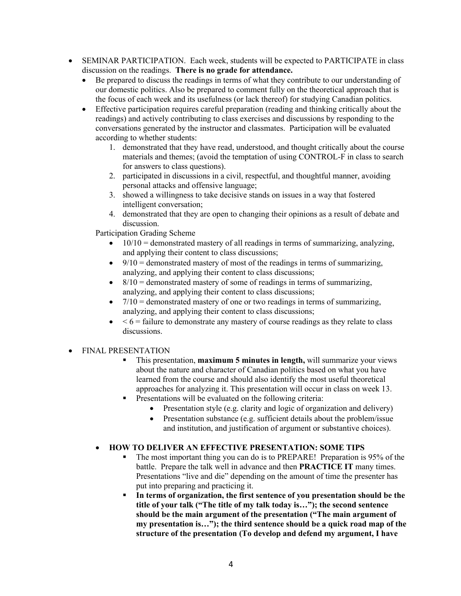- SEMINAR PARTICIPATION. Each week, students will be expected to PARTICIPATE in class discussion on the readings. **There is no grade for attendance.**
	- Be prepared to discuss the readings in terms of what they contribute to our understanding of our domestic politics. Also be prepared to comment fully on the theoretical approach that is the focus of each week and its usefulness (or lack thereof) for studying Canadian politics.
	- Effective participation requires careful preparation (reading and thinking critically about the readings) and actively contributing to class exercises and discussions by responding to the conversations generated by the instructor and classmates. Participation will be evaluated according to whether students:
		- 1. demonstrated that they have read, understood, and thought critically about the course materials and themes; (avoid the temptation of using CONTROL-F in class to search for answers to class questions).
		- 2. participated in discussions in a civil, respectful, and thoughtful manner, avoiding personal attacks and offensive language;
		- 3. showed a willingness to take decisive stands on issues in a way that fostered intelligent conversation;
		- 4. demonstrated that they are open to changing their opinions as a result of debate and discussion.

Participation Grading Scheme

- $\bullet$  10/10 = demonstrated mastery of all readings in terms of summarizing, analyzing, and applying their content to class discussions;
- $\bullet$  9/10 = demonstrated mastery of most of the readings in terms of summarizing, analyzing, and applying their content to class discussions;
- $\bullet$   $8/10$  = demonstrated mastery of some of readings in terms of summarizing. analyzing, and applying their content to class discussions;
- $\bullet$  7/10 = demonstrated mastery of one or two readings in terms of summarizing, analyzing, and applying their content to class discussions;
- $\bullet \leq 6$  = failure to demonstrate any mastery of course readings as they relate to class discussions.

# • FINAL PRESENTATION

- **•** This presentation, **maximum 5 minutes in length**, will summarize your views about the nature and character of Canadian politics based on what you have learned from the course and should also identify the most useful theoretical approaches for analyzing it. This presentation will occur in class on week 13.
- Presentations will be evaluated on the following criteria:
	- Presentation style (e.g. clarity and logic of organization and delivery)
	- Presentation substance (e.g. sufficient details about the problem/issue and institution, and justification of argument or substantive choices).

# • **HOW TO DELIVER AN EFFECTIVE PRESENTATION: SOME TIPS**

- § The most important thing you can do is to PREPARE! Preparation is 95% of the battle. Prepare the talk well in advance and then **PRACTICE IT** many times. Presentations "live and die" depending on the amount of time the presenter has put into preparing and practicing it.
- In terms of organization, the first sentence of you presentation should be the **title of your talk ("The title of my talk today is…"); the second sentence should be the main argument of the presentation ("The main argument of my presentation is…"); the third sentence should be a quick road map of the structure of the presentation (To develop and defend my argument, I have**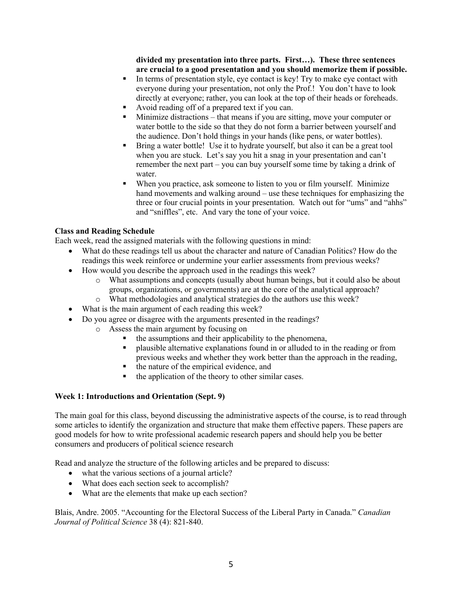**divided my presentation into three parts. First…). These three sentences are crucial to a good presentation and you should memorize them if possible.**

- In terms of presentation style, eye contact is key! Try to make eye contact with everyone during your presentation, not only the Prof.! You don't have to look directly at everyone; rather, you can look at the top of their heads or foreheads.
- Avoid reading off of a prepared text if you can.
- Minimize distractions that means if you are sitting, move your computer or water bottle to the side so that they do not form a barrier between yourself and the audience. Don't hold things in your hands (like pens, or water bottles).
- § Bring a water bottle! Use it to hydrate yourself, but also it can be a great tool when you are stuck. Let's say you hit a snag in your presentation and can't remember the next part – you can buy yourself some time by taking a drink of water.
- When you practice, ask someone to listen to you or film yourself. Minimize hand movements and walking around – use these techniques for emphasizing the three or four crucial points in your presentation. Watch out for "ums" and "ahhs" and "sniffles", etc. And vary the tone of your voice.

## **Class and Reading Schedule**

Each week, read the assigned materials with the following questions in mind:

- What do these readings tell us about the character and nature of Canadian Politics? How do the readings this week reinforce or undermine your earlier assessments from previous weeks?
- How would you describe the approach used in the readings this week?
	- o What assumptions and concepts (usually about human beings, but it could also be about groups, organizations, or governments) are at the core of the analytical approach?
	- o What methodologies and analytical strategies do the authors use this week?
- What is the main argument of each reading this week?
- Do you agree or disagree with the arguments presented in the readings?
	- o Assess the main argument by focusing on
		- the assumptions and their applicability to the phenomena,
		- § plausible alternative explanations found in or alluded to in the reading or from previous weeks and whether they work better than the approach in the reading,
		- the nature of the empirical evidence, and
		- the application of the theory to other similar cases.

## **Week 1: Introductions and Orientation (Sept. 9)**

The main goal for this class, beyond discussing the administrative aspects of the course, is to read through some articles to identify the organization and structure that make them effective papers. These papers are good models for how to write professional academic research papers and should help you be better consumers and producers of political science research

Read and analyze the structure of the following articles and be prepared to discuss:

- what the various sections of a journal article?
- What does each section seek to accomplish?
- What are the elements that make up each section?

Blais, Andre. 2005. "Accounting for the Electoral Success of the Liberal Party in Canada." *Canadian Journal of Political Science* 38 (4): 821-840.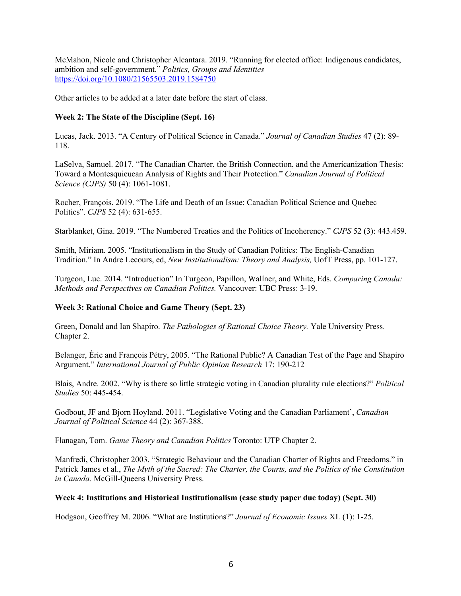McMahon, Nicole and Christopher Alcantara. 2019. "Running for elected office: Indigenous candidates, ambition and self-government." *Politics, Groups and Identities* https://doi.org/10.1080/21565503.2019.1584750

Other articles to be added at a later date before the start of class.

# **Week 2: The State of the Discipline (Sept. 16)**

Lucas, Jack. 2013. "A Century of Political Science in Canada." *Journal of Canadian Studies* 47 (2): 89- 118.

LaSelva, Samuel. 2017. "The Canadian Charter, the British Connection, and the Americanization Thesis: Toward a Montesquieuean Analysis of Rights and Their Protection." *Canadian Journal of Political Science (CJPS)* 50 (4): 1061-1081.

Rocher, François. 2019. "The Life and Death of an Issue: Canadian Political Science and Quebec Politics". *CJPS* 52 (4): 631-655.

Starblanket, Gina. 2019. "The Numbered Treaties and the Politics of Incoherency." *CJPS* 52 (3): 443.459.

Smith, Miriam. 2005. "Institutionalism in the Study of Canadian Politics: The English-Canadian Tradition." In Andre Lecours, ed, *New Institutionalism: Theory and Analysis,* UofT Press, pp. 101-127.

Turgeon, Luc. 2014. "Introduction" In Turgeon, Papillon, Wallner, and White, Eds. *Comparing Canada: Methods and Perspectives on Canadian Politics.* Vancouver: UBC Press: 3-19.

## **Week 3: Rational Choice and Game Theory (Sept. 23)**

Green, Donald and Ian Shapiro. *The Pathologies of Rational Choice Theory.* Yale University Press. Chapter 2.

Belanger, Éric and François Pétry, 2005. "The Rational Public? A Canadian Test of the Page and Shapiro Argument." *International Journal of Public Opinion Research* 17: 190-212

Blais, Andre. 2002. "Why is there so little strategic voting in Canadian plurality rule elections?" *Political Studies* 50: 445-454.

Godbout, JF and Bjorn Hoyland. 2011. "Legislative Voting and the Canadian Parliament', *Canadian Journal of Political Science* 44 (2): 367-388.

Flanagan, Tom. *Game Theory and Canadian Politics* Toronto: UTP Chapter 2.

Manfredi, Christopher 2003. "Strategic Behaviour and the Canadian Charter of Rights and Freedoms." in Patrick James et al., *The Myth of the Sacred: The Charter, the Courts, and the Politics of the Constitution in Canada.* McGill-Queens University Press.

## **Week 4: Institutions and Historical Institutionalism (case study paper due today) (Sept. 30)**

Hodgson, Geoffrey M. 2006. "What are Institutions?" *Journal of Economic Issues* XL (1): 1-25.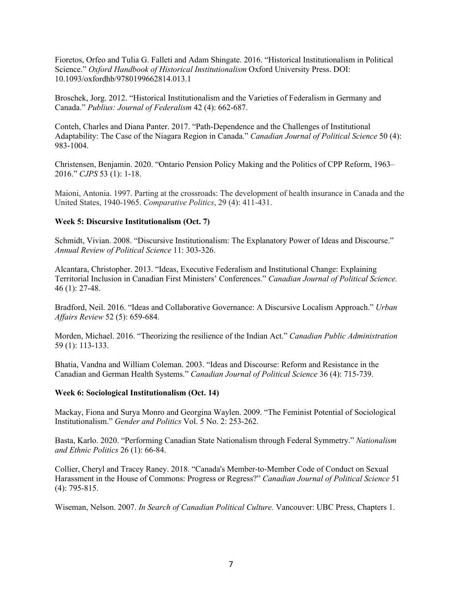Fioretos, Orfeo and Tulia G. Falleti and Adam Shingate. 2016. "Historical Institutionalism in Political Science." *Oxford Handbook of Historical Institutionalism* Oxford University Press. DOI: 10.1093/oxfordhb/9780199662814.013.1

Broschek, Jorg. 2012. "Historical Institutionalism and the Varieties of Federalism in Germany and Canada." *Publius: Journal of Federalism* 42 (4): 662-687.

Conteh, Charles and Diana Panter. 2017. "Path-Dependence and the Challenges of Institutional Adaptability: The Case of the Niagara Region in Canada." *Canadian Journal of Political Science* 50 (4): 983-1004.

Christensen, Benjamin. 2020. "Ontario Pension Policy Making and the Politics of CPP Reform, 1963– 2016." *CJPS* 53 (1): 1-18.

Maioni, Antonia. 1997. Parting at the crossroads: The development of health insurance in Canada and the United States, 1940-1965. *Comparative Politics*, 29 (4): 411-431.

## **Week 5: Discursive Institutionalism (Oct. 7)**

Schmidt, Vivian. 2008. "Discursive Institutionalism: The Explanatory Power of Ideas and Discourse." *Annual Review of Political Science* 11: 303-326.

Alcantara, Christopher. 2013. "Ideas, Executive Federalism and Institutional Change: Explaining Territorial Inclusion in Canadian First Ministers' Conferences." *Canadian Journal of Political Science.* 46 (1): 27-48.

Bradford, Neil. 2016. "Ideas and Collaborative Governance: A Discursive Localism Approach." *Urban Affairs Review* 52 (5): 659-684.

Morden, Michael. 2016. "Theorizing the resilience of the Indian Act." *Canadian Public Administration* 59 (1): 113-133.

Bhatia, Vandna and William Coleman. 2003. "Ideas and Discourse: Reform and Resistance in the Canadian and German Health Systems." *Canadian Journal of Political Science* 36 (4): 715-739.

#### **Week 6: Sociological Institutionalism (Oct. 14)**

Mackay, Fiona and Surya Monro and Georgina Waylen. 2009. "The Feminist Potential of Sociological Institutionalism." *Gender and Politics* Vol. 5 No. 2: 253-262.

Basta, Karlo. 2020. "Performing Canadian State Nationalism through Federal Symmetry." *Nationalism and Ethnic Politics* 26 (1): 66-84.

Collier, Cheryl and Tracey Raney. 2018. "Canada's Member-to-Member Code of Conduct on Sexual Harassment in the House of Commons: Progress or Regress?" *Canadian Journal of Political Science* 51 (4): 795-815.

Wiseman, Nelson. 2007. *In Search of Canadian Political Culture.* Vancouver: UBC Press, Chapters 1.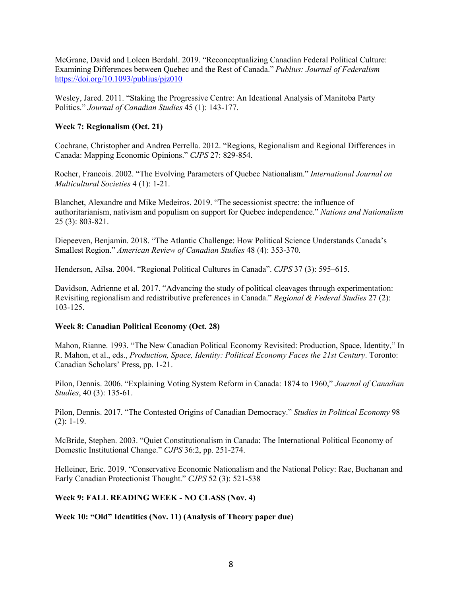McGrane, David and Loleen Berdahl. 2019. "Reconceptualizing Canadian Federal Political Culture: Examining Differences between Quebec and the Rest of Canada." *Publius: Journal of Federalism* https://doi.org/10.1093/publius/pjz010

Wesley, Jared. 2011. "Staking the Progressive Centre: An Ideational Analysis of Manitoba Party Politics." *Journal of Canadian Studies* 45 (1): 143-177.

# **Week 7: Regionalism (Oct. 21)**

Cochrane, Christopher and Andrea Perrella. 2012. "Regions, Regionalism and Regional Differences in Canada: Mapping Economic Opinions." *CJPS* 27: 829-854.

Rocher, Francois. 2002. "The Evolving Parameters of Quebec Nationalism." *International Journal on Multicultural Societies* 4 (1): 1-21.

Blanchet, Alexandre and Mike Medeiros. 2019. "The secessionist spectre: the influence of authoritarianism, nativism and populism on support for Quebec independence." *Nations and Nationalism*  25 (3): 803-821.

Diepeeven, Benjamin. 2018. "The Atlantic Challenge: How Political Science Understands Canada's Smallest Region." *American Review of Canadian Studies* 48 (4): 353-370.

Henderson, Ailsa. 2004. "Regional Political Cultures in Canada". *CJPS* 37 (3): 595–615.

Davidson, Adrienne et al. 2017. "Advancing the study of political cleavages through experimentation: Revisiting regionalism and redistributive preferences in Canada." *Regional & Federal Studies* 27 (2): 103-125.

## **Week 8: Canadian Political Economy (Oct. 28)**

Mahon, Rianne. 1993. "The New Canadian Political Economy Revisited: Production, Space, Identity," In R. Mahon, et al., eds., *Production, Space, Identity: Political Economy Faces the 21st Century*. Toronto: Canadian Scholars' Press, pp. 1-21.

Pilon, Dennis. 2006. "Explaining Voting System Reform in Canada: 1874 to 1960," *Journal of Canadian Studies*, 40 (3): 135-61.

Pilon, Dennis. 2017. "The Contested Origins of Canadian Democracy." *Studies in Political Economy* 98 (2): 1-19.

McBride, Stephen. 2003. "Quiet Constitutionalism in Canada: The International Political Economy of Domestic Institutional Change." *CJPS* 36:2, pp. 251-274.

Helleiner, Eric. 2019. "Conservative Economic Nationalism and the National Policy: Rae, Buchanan and Early Canadian Protectionist Thought." *CJPS* 52 (3): 521-538

## **Week 9: FALL READING WEEK - NO CLASS (Nov. 4)**

**Week 10: "Old" Identities (Nov. 11) (Analysis of Theory paper due)**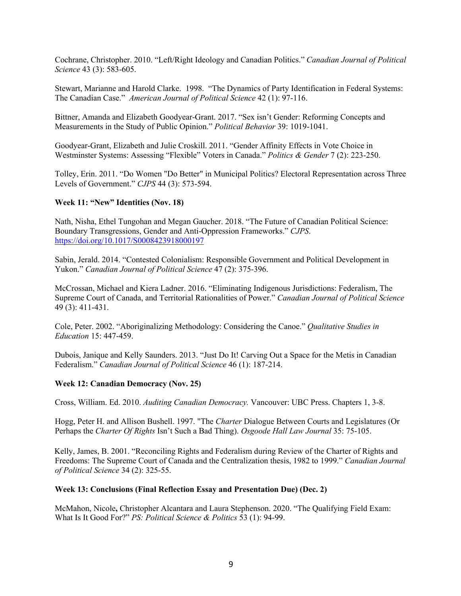Cochrane, Christopher. 2010. "Left/Right Ideology and Canadian Politics." *Canadian Journal of Political Science* 43 (3): 583-605.

Stewart, Marianne and Harold Clarke. 1998. "The Dynamics of Party Identification in Federal Systems: The Canadian Case." *American Journal of Political Science* 42 (1): 97-116.

Bittner, Amanda and Elizabeth Goodyear-Grant. 2017. "Sex isn't Gender: Reforming Concepts and Measurements in the Study of Public Opinion." *Political Behavior* 39: 1019-1041.

Goodyear-Grant, Elizabeth and Julie Croskill. 2011. "Gender Affinity Effects in Vote Choice in Westminster Systems: Assessing "Flexible" Voters in Canada." *Politics & Gender* 7 (2): 223-250.

Tolley, Erin. 2011. "Do Women "Do Better" in Municipal Politics? Electoral Representation across Three Levels of Government." *CJPS* 44 (3): 573-594.

## **Week 11: "New" Identities (Nov. 18)**

Nath, Nisha, Ethel Tungohan and Megan Gaucher. 2018. "The Future of Canadian Political Science: Boundary Transgressions, Gender and Anti-Oppression Frameworks." *CJPS*. https://doi.org/10.1017/S0008423918000197

Sabin, Jerald. 2014. "Contested Colonialism: Responsible Government and Political Development in Yukon." *Canadian Journal of Political Science* 47 (2): 375-396.

McCrossan, Michael and Kiera Ladner. 2016. "Eliminating Indigenous Jurisdictions: Federalism, The Supreme Court of Canada, and Territorial Rationalities of Power." *Canadian Journal of Political Science* 49 (3): 411-431.

Cole, Peter. 2002. "Aboriginalizing Methodology: Considering the Canoe." *Qualitative Studies in Education* 15: 447-459.

Dubois, Janique and Kelly Saunders. 2013. "Just Do It! Carving Out a Space for the Metis in Canadian Federalism." *Canadian Journal of Political Science* 46 (1): 187-214.

#### **Week 12: Canadian Democracy (Nov. 25)**

Cross, William. Ed. 2010. *Auditing Canadian Democracy.* Vancouver: UBC Press. Chapters 1, 3-8.

Hogg, Peter H. and Allison Bushell. 1997. "The *Charter* Dialogue Between Courts and Legislatures (Or Perhaps the *Charter Of Rights* Isn't Such a Bad Thing). *Osgoode Hall Law Journal* 35: 75-105.

Kelly, James, B. 2001. "Reconciling Rights and Federalism during Review of the Charter of Rights and Freedoms: The Supreme Court of Canada and the Centralization thesis, 1982 to 1999." *Canadian Journal of Political Science* 34 (2): 325-55.

#### **Week 13: Conclusions (Final Reflection Essay and Presentation Due) (Dec. 2)**

McMahon, Nicole**,** Christopher Alcantara and Laura Stephenson. 2020. "The Qualifying Field Exam: What Is It Good For?" *PS: Political Science & Politics* 53 (1): 94-99.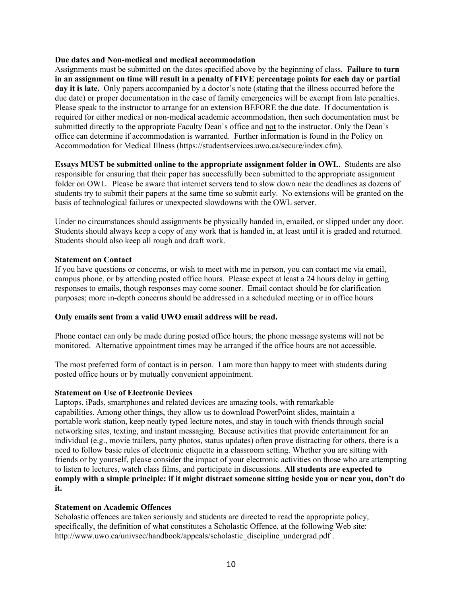## **Due dates and Non-medical and medical accommodation**

Assignments must be submitted on the dates specified above by the beginning of class. **Failure to turn in an assignment on time will result in a penalty of FIVE percentage points for each day or partial day it is late.** Only papers accompanied by a doctor's note (stating that the illness occurred before the due date) or proper documentation in the case of family emergencies will be exempt from late penalties. Please speak to the instructor to arrange for an extension BEFORE the due date. If documentation is required for either medical or non-medical academic accommodation, then such documentation must be submitted directly to the appropriate Faculty Dean`s office and not to the instructor. Only the Dean`s office can determine if accommodation is warranted. Further information is found in the Policy on Accommodation for Medical Illness (https://studentservices.uwo.ca/secure/index.cfm).

**Essays MUST be submitted online to the appropriate assignment folder in OWL**. Students are also responsible for ensuring that their paper has successfully been submitted to the appropriate assignment folder on OWL. Please be aware that internet servers tend to slow down near the deadlines as dozens of students try to submit their papers at the same time so submit early. No extensions will be granted on the basis of technological failures or unexpected slowdowns with the OWL server.

Under no circumstances should assignments be physically handed in, emailed, or slipped under any door. Students should always keep a copy of any work that is handed in, at least until it is graded and returned. Students should also keep all rough and draft work.

#### **Statement on Contact**

If you have questions or concerns, or wish to meet with me in person, you can contact me via email, campus phone, or by attending posted office hours. Please expect at least a 24 hours delay in getting responses to emails, though responses may come sooner. Email contact should be for clarification purposes; more in-depth concerns should be addressed in a scheduled meeting or in office hours

# **Only emails sent from a valid UWO email address will be read.**

Phone contact can only be made during posted office hours; the phone message systems will not be monitored. Alternative appointment times may be arranged if the office hours are not accessible.

The most preferred form of contact is in person. I am more than happy to meet with students during posted office hours or by mutually convenient appointment.

#### **Statement on Use of Electronic Devices**

Laptops, iPads, smartphones and related devices are amazing tools, with remarkable capabilities. Among other things, they allow us to download PowerPoint slides, maintain a portable work station, keep neatly typed lecture notes, and stay in touch with friends through social networking sites, texting, and instant messaging. Because activities that provide entertainment for an individual (e.g., movie trailers, party photos, status updates) often prove distracting for others, there is a need to follow basic rules of electronic etiquette in a classroom setting. Whether you are sitting with friends or by yourself, please consider the impact of your electronic activities on those who are attempting to listen to lectures, watch class films, and participate in discussions. **All students are expected to comply with a simple principle: if it might distract someone sitting beside you or near you, don't do it.**

#### **Statement on Academic Offences**

Scholastic offences are taken seriously and students are directed to read the appropriate policy, specifically, the definition of what constitutes a Scholastic Offence, at the following Web site: http://www.uwo.ca/univsec/handbook/appeals/scholastic\_discipline\_undergrad.pdf .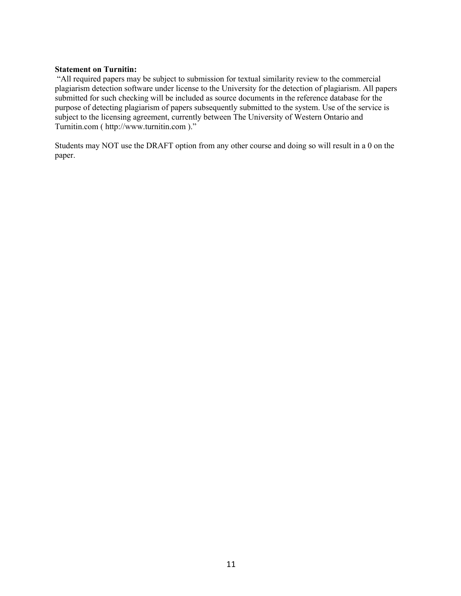#### **Statement on Turnitin:**

"All required papers may be subject to submission for textual similarity review to the commercial plagiarism detection software under license to the University for the detection of plagiarism. All papers submitted for such checking will be included as source documents in the reference database for the purpose of detecting plagiarism of papers subsequently submitted to the system. Use of the service is subject to the licensing agreement, currently between The University of Western Ontario and Turnitin.com ( http://www.turnitin.com )."

Students may NOT use the DRAFT option from any other course and doing so will result in a 0 on the paper.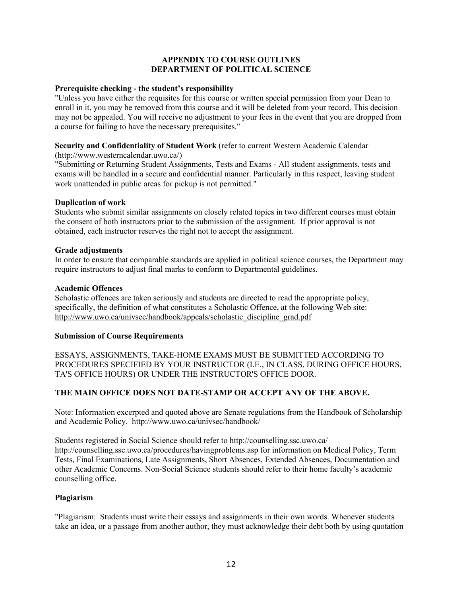# **APPENDIX TO COURSE OUTLINES DEPARTMENT OF POLITICAL SCIENCE**

#### **Prerequisite checking - the student's responsibility**

"Unless you have either the requisites for this course or written special permission from your Dean to enroll in it, you may be removed from this course and it will be deleted from your record. This decision may not be appealed. You will receive no adjustment to your fees in the event that you are dropped from a course for failing to have the necessary prerequisites."

## **Security and Confidentiality of Student Work** (refer to current Western Academic Calendar

(http://www.westerncalendar.uwo.ca/)

"Submitting or Returning Student Assignments, Tests and Exams - All student assignments, tests and exams will be handled in a secure and confidential manner. Particularly in this respect, leaving student work unattended in public areas for pickup is not permitted."

#### **Duplication of work**

Students who submit similar assignments on closely related topics in two different courses must obtain the consent of both instructors prior to the submission of the assignment. If prior approval is not obtained, each instructor reserves the right not to accept the assignment.

#### **Grade adjustments**

In order to ensure that comparable standards are applied in political science courses, the Department may require instructors to adjust final marks to conform to Departmental guidelines.

#### **Academic Offences**

Scholastic offences are taken seriously and students are directed to read the appropriate policy, specifically, the definition of what constitutes a Scholastic Offence, at the following Web site: http://www.uwo.ca/univsec/handbook/appeals/scholastic\_discipline\_grad.pdf

## **Submission of Course Requirements**

ESSAYS, ASSIGNMENTS, TAKE-HOME EXAMS MUST BE SUBMITTED ACCORDING TO PROCEDURES SPECIFIED BY YOUR INSTRUCTOR (I.E., IN CLASS, DURING OFFICE HOURS, TA'S OFFICE HOURS) OR UNDER THE INSTRUCTOR'S OFFICE DOOR.

# **THE MAIN OFFICE DOES NOT DATE-STAMP OR ACCEPT ANY OF THE ABOVE.**

Note: Information excerpted and quoted above are Senate regulations from the Handbook of Scholarship and Academic Policy. http://www.uwo.ca/univsec/handbook/

Students registered in Social Science should refer to http://counselling.ssc.uwo.ca/ http://counselling.ssc.uwo.ca/procedures/havingproblems.asp for information on Medical Policy, Term Tests, Final Examinations, Late Assignments, Short Absences, Extended Absences, Documentation and other Academic Concerns. Non-Social Science students should refer to their home faculty's academic counselling office.

## **Plagiarism**

"Plagiarism: Students must write their essays and assignments in their own words. Whenever students take an idea, or a passage from another author, they must acknowledge their debt both by using quotation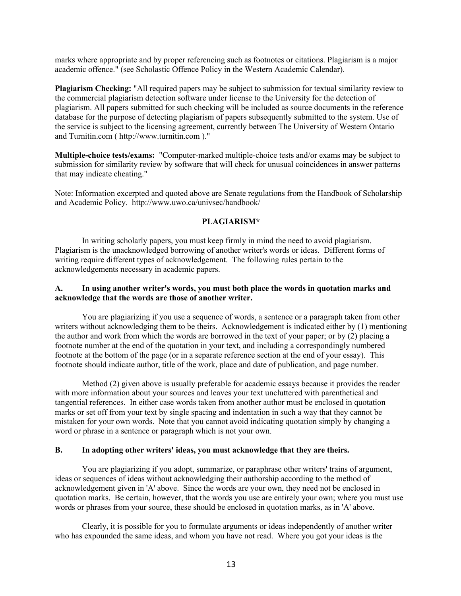marks where appropriate and by proper referencing such as footnotes or citations. Plagiarism is a major academic offence." (see Scholastic Offence Policy in the Western Academic Calendar).

**Plagiarism Checking:** "All required papers may be subject to submission for textual similarity review to the commercial plagiarism detection software under license to the University for the detection of plagiarism. All papers submitted for such checking will be included as source documents in the reference database for the purpose of detecting plagiarism of papers subsequently submitted to the system. Use of the service is subject to the licensing agreement, currently between The University of Western Ontario and Turnitin.com ( http://www.turnitin.com )."

**Multiple-choice tests/exams:** "Computer-marked multiple-choice tests and/or exams may be subject to submission for similarity review by software that will check for unusual coincidences in answer patterns that may indicate cheating."

Note: Information excerpted and quoted above are Senate regulations from the Handbook of Scholarship and Academic Policy. http://www.uwo.ca/univsec/handbook/

#### **PLAGIARISM\***

In writing scholarly papers, you must keep firmly in mind the need to avoid plagiarism. Plagiarism is the unacknowledged borrowing of another writer's words or ideas. Different forms of writing require different types of acknowledgement. The following rules pertain to the acknowledgements necessary in academic papers.

#### **A. In using another writer's words, you must both place the words in quotation marks and acknowledge that the words are those of another writer.**

You are plagiarizing if you use a sequence of words, a sentence or a paragraph taken from other writers without acknowledging them to be theirs. Acknowledgement is indicated either by (1) mentioning the author and work from which the words are borrowed in the text of your paper; or by (2) placing a footnote number at the end of the quotation in your text, and including a correspondingly numbered footnote at the bottom of the page (or in a separate reference section at the end of your essay). This footnote should indicate author, title of the work, place and date of publication, and page number.

Method (2) given above is usually preferable for academic essays because it provides the reader with more information about your sources and leaves your text uncluttered with parenthetical and tangential references. In either case words taken from another author must be enclosed in quotation marks or set off from your text by single spacing and indentation in such a way that they cannot be mistaken for your own words. Note that you cannot avoid indicating quotation simply by changing a word or phrase in a sentence or paragraph which is not your own.

#### **B. In adopting other writers' ideas, you must acknowledge that they are theirs.**

You are plagiarizing if you adopt, summarize, or paraphrase other writers' trains of argument, ideas or sequences of ideas without acknowledging their authorship according to the method of acknowledgement given in 'A' above. Since the words are your own, they need not be enclosed in quotation marks. Be certain, however, that the words you use are entirely your own; where you must use words or phrases from your source, these should be enclosed in quotation marks, as in 'A' above.

Clearly, it is possible for you to formulate arguments or ideas independently of another writer who has expounded the same ideas, and whom you have not read. Where you got your ideas is the